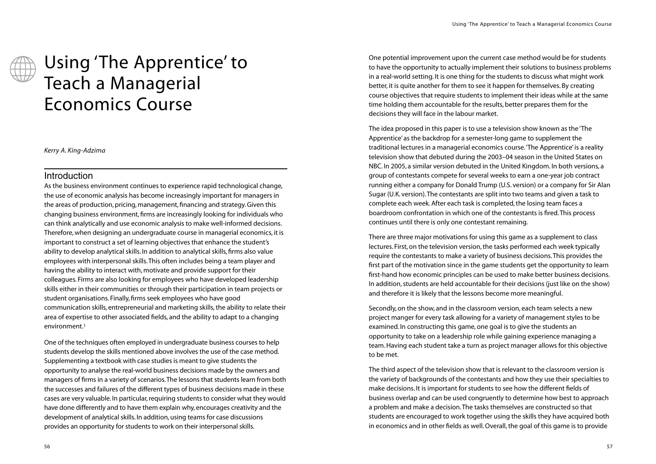# Using 'The Apprentice' to Teach a Managerial Economics Course

*Kerry A. King-Adzima*

# **Introduction**

As the business environment continues to experience rapid technological change, the use of economic analysis has become increasingly important for managers in the areas of production, pricing, management, financing and strategy. Given this changing business environment, firms are increasingly looking for individuals who can think analytically and use economic analysis to make well-informed decisions. Therefore, when designing an undergraduate course in managerial economics, it is important to construct a set of learning objectives that enhance the student's ability to develop analytical skills. In addition to analytical skills, firms also value employees with interpersonal skills.This often includes being a team player and having the ability to interact with, motivate and provide support for their colleagues. Firms are also looking for employees who have developed leadership skills either in their communities or through their participation in team projects or student organisations. Finally, firms seek employees who have good communication skills, entrepreneurial and marketing skills, the ability to relate their area of expertise to other associated fields, and the ability to adapt to a changing environment.1

One of the techniques often employed in undergraduate business courses to help students develop the skills mentioned above involves the use of the case method. Supplementing a textbook with case studies is meant to give students the opportunity to analyse the real-world business decisions made by the owners and managers of firms in a variety of scenarios.The lessons that students learn from both the successes and failures of the different types of business decisions made in these cases are very valuable. In particular, requiring students to consider what they would have done differently and to have them explain why, encourages creativity and the development of analytical skills. In addition, using teams for case discussions provides an opportunity for students to work on their interpersonal skills.

One potential improvement upon the current case method would be for students to have the opportunity to actually implement their solutions to business problems in a real-world setting. It is one thing for the students to discuss what might work better, it is quite another for them to see it happen for themselves. By creating course objectives that require students to implement their ideas while at the same time holding them accountable for the results, better prepares them for the decisions they will face in the labour market.

The idea proposed in this paper is to use a television show known as the 'The Apprentice' as the backdrop for a semester-long game to supplement the traditional lectures in a managerial economics course.'The Apprentice' is a reality television show that debuted during the 2003–04 season in the United States on NBC. In 2005, a similar version debuted in the United Kingdom. In both versions, a group of contestants compete for several weeks to earn a one-year job contract running either a company for Donald Trump (U.S. version) or a company for Sir Alan Sugar (U.K. version).The contestants are split into two teams and given a task to complete each week. After each task is completed, the losing team faces a boardroom confrontation in which one of the contestants is fired.This process continues until there is only one contestant remaining.

There are three major motivations for using this game as a supplement to class lectures. First, on the television version, the tasks performed each week typically require the contestants to make a variety of business decisions.This provides the first part of the motivation since in the game students get the opportunity to learn first-hand how economic principles can be used to make better business decisions. In addition, students are held accountable for their decisions (just like on the show) and therefore it is likely that the lessons become more meaningful.

Secondly, on the show, and in the classroom version, each team selects a new project manger for every task allowing for a variety of management styles to be examined. In constructing this game, one goal is to give the students an opportunity to take on a leadership role while gaining experience managing a team. Having each student take a turn as project manager allows for this objective to be met.

The third aspect of the television show that is relevant to the classroom version is the variety of backgrounds of the contestants and how they use their specialties to make decisions. It is important for students to see how the different fields of business overlap and can be used congruently to determine how best to approach a problem and make a decision.The tasks themselves are constructed so that students are encouraged to work together using the skills they have acquired both in economics and in other fields as well. Overall, the goal of this game is to provide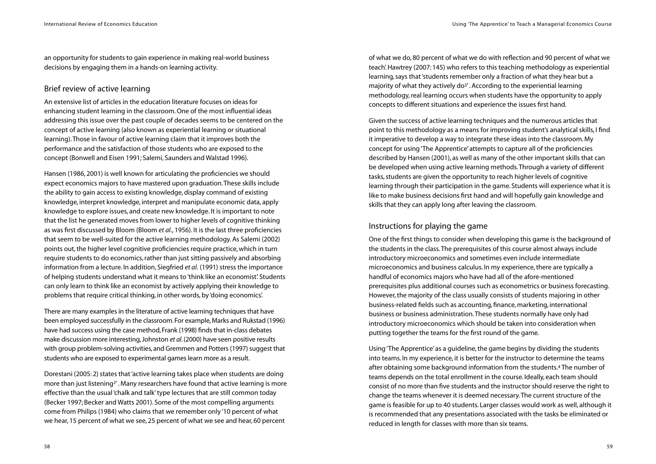an opportunity for students to gain experience in making real-world business decisions by engaging them in a hands-on learning activity.

# Brief review of active learning

An extensive list of articles in the education literature focuses on ideas for enhancing student learning in the classroom. One of the most influential ideas addressing this issue over the past couple of decades seems to be centered on the concept of active learning (also known as experiential learning or situational learning).Those in favour of active learning claim that it improves both the performance and the satisfaction of those students who are exposed to the concept (Bonwell and Eisen 1991; Salemi, Saunders and Walstad 1996).

Hansen (1986, 2001) is well known for articulating the proficiencies we should expect economics majors to have mastered upon graduation.These skills include the ability to gain access to existing knowledge, display command of existing knowledge, interpret knowledge, interpret and manipulate economic data, apply knowledge to explore issues, and create new knowledge. It is important to note that the list he generated moves from lower to higher levels of cognitive thinking as was first discussed by Bloom (Bloom *et al*., 1956). It is the last three proficiencies that seem to be well-suited for the active learning methodology. As Salemi (2002) points out, the higher level cognitive proficiencies require practice, which in turn require students to do economics, rather than just sitting passively and absorbing information from a lecture. In addition, Siegfried *et al.* (1991) stress the importance of helping students understand what it means to'think like an economist'. Students can only learn to think like an economist by actively applying their knowledge to problems that require critical thinking, in other words, by 'doing economics'.

There are many examples in the literature of active learning techniques that have been employed successfully in the classroom. For example, Marks and Rukstad (1996) have had success using the case method, Frank (1998) finds that in-class debates make discussion more interesting, Johnston *et al*.(2000) have seen positive results with group problem-solving activities, and Gremmen and Potters (1997) suggest that students who are exposed to experimental games learn more as a result.

Dorestani (2005: 2) states that 'active learning takes place when students are doing more than just listening2' . Many researchers have found that active learning is more effective than the usual 'chalk and talk' type lectures that are still common today (Becker 1997; Becker and Watts 2001). Some of the most compelling arguments come from Philips (1984) who claims that we remember only '10 percent of what we hear, 15 percent of what we see, 25 percent of what we see and hear, 60 percent

of what we do, 80 percent of what we do with reflection and 90 percent of what we teach'. Hawtrey (2007: 145) who refers to this teaching methodology as experiential learning, says that 'students remember only a fraction of what they hear but a majority of what they actively do<sup>3'</sup>. According to the experiential learning methodology, real learning occurs when students have the opportunity to apply concepts to different situations and experience the issues first hand.

Given the success of active learning techniques and the numerous articles that point to this methodology as a means for improving student's analytical skills, I find it imperative to develop a way to integrate these ideas into the classroom. My concept for using 'The Apprentice' attempts to capture all of the proficiencies described by Hansen (2001), as well as many of the other important skills that can be developed when using active learning methods.Through a variety of different tasks, students are given the opportunity to reach higher levels of cognitive learning through their participation in the game. Students will experience what it is like to make business decisions first hand and will hopefully gain knowledge and skills that they can apply long after leaving the classroom.

# Instructions for playing the game

One of the first things to consider when developing this game is the background of the students in the class.The prerequisites of this course almost always include introductory microeconomics and sometimes even include intermediate microeconomics and business calculus. In my experience, there are typically a handful of economics majors who have had all of the afore-mentioned prerequisites plus additional courses such as econometrics or business forecasting. However, the majority of the class usually consists of students majoring in other business-related fields such as accounting, finance, marketing, international business or business administration.These students normally have only had introductory microeconomics which should be taken into consideration when putting together the teams for the first round of the game.

Using 'The Apprentice' as a guideline, the game begins by dividing the students into teams. In my experience, it is better for the instructor to determine the teams after obtaining some background information from the students.4 The number of teams depends on the total enrollment in the course. Ideally, each team should consist of no more than five students and the instructor should reserve the right to change the teams whenever it is deemed necessary.The current structure of the game is feasible for up to 40 students. Larger classes would work as well, although it is recommended that any presentations associated with the tasks be eliminated or reduced in length for classes with more than six teams.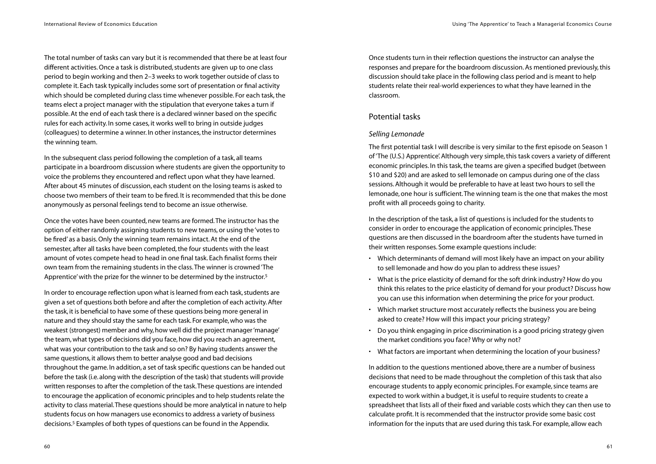The total number of tasks can vary but it is recommended that there be at least four different activities. Once a task is distributed, students are given up to one class period to begin working and then 2–3 weeks to work together outside of class to complete it. Each task typically includes some sort of presentation or final activity which should be completed during class time whenever possible. For each task, the teams elect a project manager with the stipulation that everyone takes a turn if possible. At the end of each task there is a declared winner based on the specific rules for each activity. In some cases, it works well to bring in outside judges (colleagues) to determine a winner. In other instances, the instructor determines the winning team.

In the subsequent class period following the completion of a task, all teams participate in a boardroom discussion where students are given the opportunity to voice the problems they encountered and reflect upon what they have learned. After about 45 minutes of discussion, each student on the losing teams is asked to choose two members of their team to be fired. It is recommended that this be done anonymously as personal feelings tend to become an issue otherwise.

Once the votes have been counted, new teams are formed.The instructor has the option of either randomly assigning students to new teams, or using the 'votes to be fired' as a basis. Only the winning team remains intact. At the end of the semester, after all tasks have been completed, the four students with the least amount of votes compete head to head in one final task. Each finalist forms their own team from the remaining students in the class.The winner is crowned 'The Apprentice' with the prize for the winner to be determined by the instructor.5

In order to encourage reflection upon what is learned from each task, students are given a set of questions both before and after the completion of each activity. After the task, it is beneficial to have some of these questions being more general in nature and they should stay the same for each task. For example, who was the weakest (strongest) member and why, how well did the project manager 'manage' the team, what types of decisions did you face, how did you reach an agreement, what was your contribution to the task and so on? By having students answer the same questions, it allows them to better analyse good and bad decisions throughout the game. In addition, a set of task specific questions can be handed out before the task (i.e. along with the description of the task) that students will provide written responses to after the completion of the task.These questions are intended to encourage the application of economic principles and to help students relate the activity to class material.These questions should be more analytical in nature to help students focus on how managers use economics to address a variety of business decisions.5 Examples of both types of questions can be found in the Appendix.

Once students turn in their reflection questions the instructor can analyse the responses and prepare for the boardroom discussion. As mentioned previously, this discussion should take place in the following class period and is meant to help students relate their real-world experiences to what they have learned in the classroom.

# Potential tasks

#### *Selling Lemonade*

The first potential task I will describe is very similar to the first episode on Season 1 of 'The (U.S.) Apprentice'. Although very simple, this task covers a variety of different economic principles. In this task, the teams are given a specified budget (between \$10 and \$20) and are asked to sell lemonade on campus during one of the class sessions. Although it would be preferable to have at least two hours to sell the lemonade, one hour is sufficient.The winning team is the one that makes the most profit with all proceeds going to charity.

In the description of the task, a list of questions is included for the students to consider in order to encourage the application of economic principles.These questions are then discussed in the boardroom after the students have turned in their written responses. Some example questions include:

- Which determinants of demand will most likely have an impact on your ability to sell lemonade and how do you plan to address these issues?
- What is the price elasticity of demand for the soft drink industry? How do you think this relates to the price elasticity of demand for your product? Discuss how you can use this information when determining the price for your product.
- Which market structure most accurately reflects the business you are being asked to create? How will this impact your pricing strategy?
- Do you think engaging in price discrimination is a good pricing strategy given the market conditions you face? Why or why not?
- What factors are important when determining the location of your business?

In addition to the questions mentioned above, there are a number of business decisions that need to be made throughout the completion of this task that also encourage students to apply economic principles. For example, since teams are expected to work within a budget, it is useful to require students to create a spreadsheet that lists all of their fixed and variable costs which they can then use to calculate profit. It is recommended that the instructor provide some basic cost information for the inputs that are used during this task. For example, allow each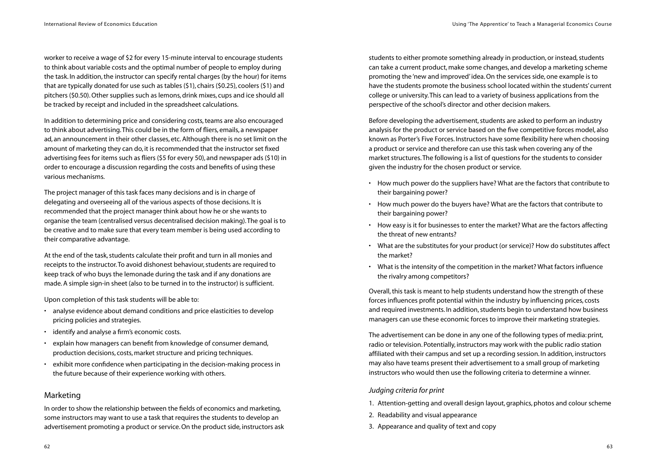worker to receive a wage of \$2 for every 15-minute interval to encourage students to think about variable costs and the optimal number of people to employ during the task. In addition, the instructor can specify rental charges (by the hour) for items that are typically donated for use such as tables (\$1), chairs (\$0.25), coolers (\$1) and pitchers (\$0.50). Other supplies such as lemons, drink mixes, cups and ice should all be tracked by receipt and included in the spreadsheet calculations.

In addition to determining price and considering costs, teams are also encouraged to think about advertising.This could be in the form of fliers, emails, a newspaper ad, an announcement in their other classes, etc. Although there is no set limit on the amount of marketing they can do, it is recommended that the instructor set fixed advertising fees for items such as fliers (\$5 for every 50), and newspaper ads (\$10) in order to encourage a discussion regarding the costs and benefits of using these various mechanisms.

The project manager of this task faces many decisions and is in charge of delegating and overseeing all of the various aspects of those decisions. It is recommended that the project manager think about how he or she wants to organise the team (centralised versus decentralised decision making).The goal is to be creative and to make sure that every team member is being used according to their comparative advantage.

At the end of the task, students calculate their profit and turn in all monies and receipts to the instructor.To avoid dishonest behaviour, students are required to keep track of who buys the lemonade during the task and if any donations are made. A simple sign-in sheet (also to be turned in to the instructor) is sufficient.

Upon completion of this task students will be able to:

- analyse evidence about demand conditions and price elasticities to develop pricing policies and strategies.
- identify and analyse a firm's economic costs.
- explain how managers can benefit from knowledge of consumer demand, production decisions, costs, market structure and pricing techniques.
- exhibit more confidence when participating in the decision-making process in the future because of their experience working with others.

# Marketing

In order to show the relationship between the fields of economics and marketing, some instructors may want to use a task that requires the students to develop an advertisement promoting a product or service. On the product side, instructors ask students to either promote something already in production, or instead, students can take a current product, make some changes, and develop a marketing scheme promoting the 'new and improved' idea. On the services side, one example is to have the students promote the business school located within the students' current college or university.This can lead to a variety of business applications from the perspective of the school's director and other decision makers.

Before developing the advertisement, students are asked to perform an industry analysis for the product or service based on the five competitive forces model, also known as Porter's Five Forces. Instructors have some flexibility here when choosing a product or service and therefore can use this task when covering any of the market structures.The following is a list of questions for the students to consider given the industry for the chosen product or service.

- How much power do the suppliers have? What are the factors that contribute to their bargaining power?
- How much power do the buyers have? What are the factors that contribute to their bargaining power?
- How easy is it for businesses to enter the market? What are the factors affecting the threat of new entrants?
- What are the substitutes for your product (or service)? How do substitutes affect the market?
- What is the intensity of the competition in the market? What factors influence the rivalry among competitors?

Overall, this task is meant to help students understand how the strength of these forces influences profit potential within the industry by influencing prices, costs and required investments. In addition, students begin to understand how business managers can use these economic forces to improve their marketing strategies.

The advertisement can be done in any one of the following types of media: print, radio or television. Potentially, instructors may work with the public radio station affiliated with their campus and set up a recording session. In addition, instructors may also have teams present their advertisement to a small group of marketing instructors who would then use the following criteria to determine a winner.

### *Judging criteria for print*

- 1. Attention-getting and overall design layout, graphics, photos and colour scheme
- 2. Readability and visual appearance
- 3. Appearance and quality of text and copy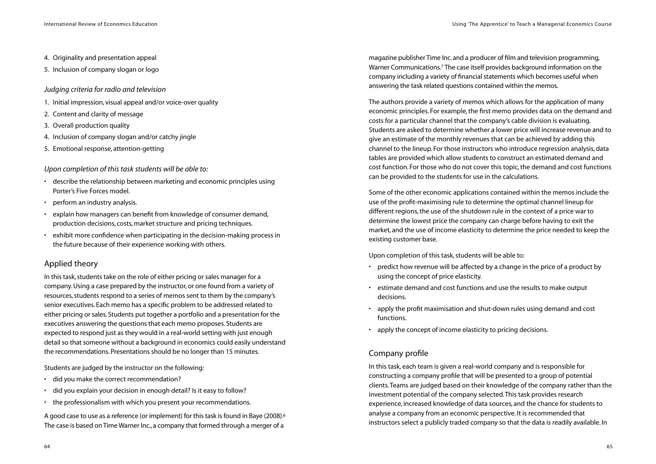- 4. Originality and presentation appeal
- 5. Inclusion of company slogan or logo

*Judging criteria for radio and television* 

- 1. Initial impression, visual appeal and/or voice-over quality
- 2. Content and clarity of message
- 3. Overall production quality
- 4. Inclusion of company slogan and/or catchy jingle
- 5. Emotional response, attention-getting

*Upon completion of this task students will be able to:*

- describe the relationship between marketing and economic principles using Porter's Five Forces model.
- perform an industry analysis.
- explain how managers can benefit from knowledge of consumer demand, production decisions, costs, market structure and pricing techniques.
- exhibit more confidence when participating in the decision-making process in the future because of their experience working with others.

# Applied theory

In this task, students take on the role of either pricing or sales manager for a company.Using a case prepared by the instructor, or one found from a variety of resources, students respond to a series of memos sent to them by the company's senior executives. Each memo has a specific problem to be addressed related to either pricing or sales. Students put together a portfolio and a presentation for the executives answering the questions that each memo proposes. Students are expected to respond just as they would in a real-world setting with just enough detail so that someone without a background in economics could easily understand the recommendations. Presentations should be no longer than 15 minutes.

Students are judged by the instructor on the following:

- did you make the correct recommendation?
- did you explain your decision in enough detail? Is it easy to follow?
- the professionalism with which you present your recommendations.

A good case to use as a reference (or implement) for this task is found in Baye (2008).6 The case is based on Time Warner Inc., a company that formed through a merger of a

magazine publisher Time Inc. and a producer of film and television programming, Warner Communications.7 The case itself provides background information on the company including a variety of financial statements which becomes useful when answering the task related questions contained within the memos.

The authors provide a variety of memos which allows for the application of many economic principles. For example, the first memo provides data on the demand and costs for a particular channel that the company's cable division is evaluating. Students are asked to determine whether a lower price will increase revenue and to give an estimate of the monthly revenues that can be achieved by adding this channel to the lineup. For those instructors who introduce regression analysis, data tables are provided which allow students to construct an estimated demand and cost function. For those who do not cover this topic, the demand and cost functions can be provided to the students for use in the calculations.

Some of the other economic applications contained within the memos include the use of the profit-maximising rule to determine the optimal channel lineup for different regions, the use of the shutdown rule in the context of a price war to determine the lowest price the company can charge before having to exit the market, and the use of income elasticity to determine the price needed to keep the existing customer base.

Upon completion of this task, students will be able to:

- predict how revenue will be affected by a change in the price of a product by using the concept of price elasticity.
- estimate demand and cost functions and use the results to make output decisions.
- apply the profit maximisation and shut-down rules using demand and cost functions.
- apply the concept of income elasticity to pricing decisions.

# Company profile

In this task, each team is given a real-world company and is responsible for constructing a company profile that will be presented to a group of potential clients.Teams are judged based on their knowledge of the company rather than the investment potential of the company selected.This task provides research experience, increased knowledge of data sources, and the chance for students to analyse a company from an economic perspective. It is recommended that instructors select a publicly traded company so that the data is readily available. In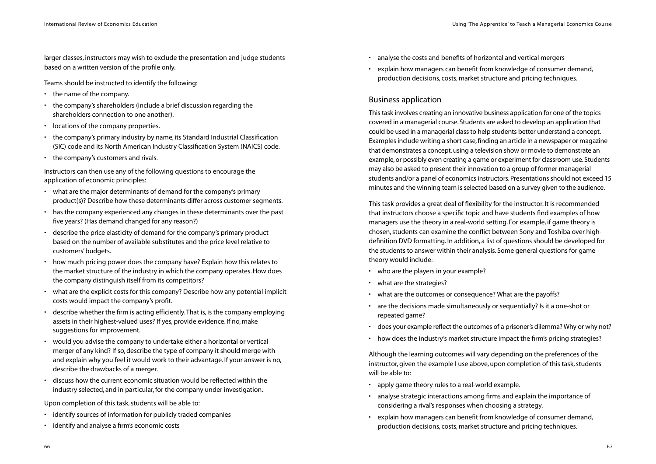larger classes, instructors may wish to exclude the presentation and judge students based on a written version of the profile only.

Teams should be instructed to identify the following:

- the name of the company.
- the company's shareholders (include a brief discussion regarding the shareholders connection to one another).
- locations of the company properties.
- the company's primary industry by name, its Standard Industrial Classification (SIC) code and its North American Industry Classification System (NAICS) code.
- the company's customers and rivals.

Instructors can then use any of the following questions to encourage the application of economic principles:

- what are the major determinants of demand for the company's primary product(s)? Describe how these determinants differ across customer segments.
- has the company experienced any changes in these determinants over the past five years? (Has demand changed for any reason?)
- describe the price elasticity of demand for the company's primary product based on the number of available substitutes and the price level relative to customers'budgets.
- how much pricing power does the company have? Explain how this relates to the market structure of the industry in which the company operates. How does the company distinguish itself from its competitors?
- what are the explicit costs for this company? Describe how any potential implicit costs would impact the company's profit.
- describe whether the firm is acting efficiently.That is, is the company employing assets in their highest-valued uses? If yes, provide evidence. If no, make suggestions for improvement.
- would you advise the company to undertake either a horizontal or vertical merger of any kind? If so, describe the type of company it should merge with and explain why you feel it would work to their advantage. If your answer is no, describe the drawbacks of a merger.
- discuss how the current economic situation would be reflected within the industry selected, and in particular, for the company under investigation.

Upon completion of this task, students will be able to:

- identify sources of information for publicly traded companies
- identify and analyse a firm's economic costs
- analyse the costs and benefits of horizontal and vertical mergers
- explain how managers can benefit from knowledge of consumer demand, production decisions, costs, market structure and pricing techniques.

# Business application

This task involves creating an innovative business application for one of the topics covered in a managerial course. Students are asked to develop an application that could be used in a managerial class to help students better understand a concept. Examples include writing a short case, finding an article in a newspaper or magazine that demonstrates a concept, using a television show or movie to demonstrate an example, or possibly even creating a game or experiment for classroom use. Students may also be asked to present their innovation to a group of former managerial students and/or a panel of economics instructors. Presentations should not exceed 15 minutes and the winning team is selected based on a survey given to the audience.

This task provides a great deal of flexibility for the instructor. It is recommended that instructors choose a specific topic and have students find examples of how managers use the theory in a real-world setting. For example, if game theory is chosen, students can examine the conflict between Sony and Toshiba over highdefinition DVD formatting. In addition, a list of questions should be developed for the students to answer within their analysis. Some general questions for game theory would include:

- who are the players in your example?
- what are the strategies?
- what are the outcomes or consequence? What are the payoffs?
- are the decisions made simultaneously or sequentially? Is it a one-shot or repeated game?
- does your example reflect the outcomes of a prisoner's dilemma? Why or why not?
- how does the industry's market structure impact the firm's pricing strategies?

Although the learning outcomes will vary depending on the preferences of the instructor, given the example I use above, upon completion of this task, students will be able to:

- apply game theory rules to a real-world example.
- analyse strategic interactions among firms and explain the importance of considering a rival's responses when choosing a strategy.
- explain how managers can benefit from knowledge of consumer demand, production decisions, costs, market structure and pricing techniques.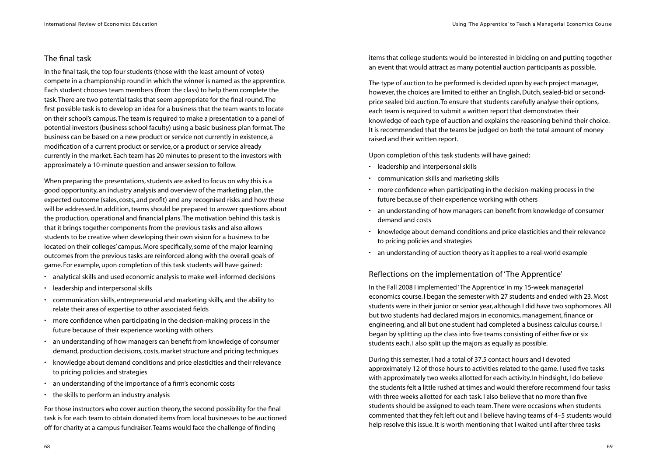# The final task

In the final task, the top four students (those with the least amount of votes) compete in a championship round in which the winner is named as the apprentice. Each student chooses team members (from the class) to help them complete the task.There are two potential tasks that seem appropriate for the final round.The first possible task is to develop an idea for a business that the team wants to locate on their school's campus.The team is required to make a presentation to a panel of potential investors (business school faculty) using a basic business plan format.The business can be based on a new product or service not currently in existence, a modification of a current product or service, or a product or service already currently in the market. Each team has 20 minutes to present to the investors with approximately a 10-minute question and answer session to follow.

When preparing the presentations, students are asked to focus on why this is a good opportunity, an industry analysis and overview of the marketing plan, the expected outcome (sales, costs, and profit) and any recognised risks and how these will be addressed. In addition, teams should be prepared to answer questions about the production, operational and financial plans.The motivation behind this task is that it brings together components from the previous tasks and also allows students to be creative when developing their own vision for a business to be located on their colleges' campus. More specifically, some of the major learning outcomes from the previous tasks are reinforced along with the overall goals of game. For example, upon completion of this task students will have gained:

- analytical skills and used economic analysis to make well-informed decisions
- leadership and interpersonal skills
- communication skills, entrepreneurial and marketing skills, and the ability to relate their area of expertise to other associated fields
- more confidence when participating in the decision-making process in the future because of their experience working with others
- an understanding of how managers can benefit from knowledge of consumer demand, production decisions, costs, market structure and pricing techniques
- knowledge about demand conditions and price elasticities and their relevance to pricing policies and strategies
- an understanding of the importance of a firm's economic costs
- the skills to perform an industry analysis

For those instructors who cover auction theory, the second possibility for the final task is for each team to obtain donated items from local businesses to be auctioned off for charity at a campus fundraiser.Teams would face the challenge of finding

items that college students would be interested in bidding on and putting together an event that would attract as many potential auction participants as possible.

The type of auction to be performed is decided upon by each project manager, however, the choices are limited to either an English, Dutch, sealed-bid or secondprice sealed bid auction.To ensure that students carefully analyse their options, each team is required to submit a written report that demonstrates their knowledge of each type of auction and explains the reasoning behind their choice. It is recommended that the teams be judged on both the total amount of money raised and their written report.

Upon completion of this task students will have gained:

- leadership and interpersonal skills
- communication skills and marketing skills
- more confidence when participating in the decision-making process in the future because of their experience working with others
- an understanding of how managers can benefit from knowledge of consumer demand and costs
- knowledge about demand conditions and price elasticities and their relevance to pricing policies and strategies
- an understanding of auction theory as it applies to a real-world example

# Reflections on the implementation of 'The Apprentice'

In the Fall 2008 I implemented 'The Apprentice' in my 15-week managerial economics course. I began the semester with 27 students and ended with 23. Most students were in their junior or senior year, although I did have two sophomores. All but two students had declared majors in economics, management, finance or engineering, and all but one student had completed a business calculus course. I began by splitting up the class into five teams consisting of either five or six students each. I also split up the majors as equally as possible.

During this semester, I had a total of 37.5 contact hours and I devoted approximately 12 of those hours to activities related to the game. I used five tasks with approximately two weeks allotted for each activity. In hindsight, I do believe the students felt a little rushed at times and would therefore recommend four tasks with three weeks allotted for each task. I also believe that no more than five students should be assigned to each team.There were occasions when students commented that they felt left out and I believe having teams of 4–5 students would help resolve this issue. It is worth mentioning that I waited until after three tasks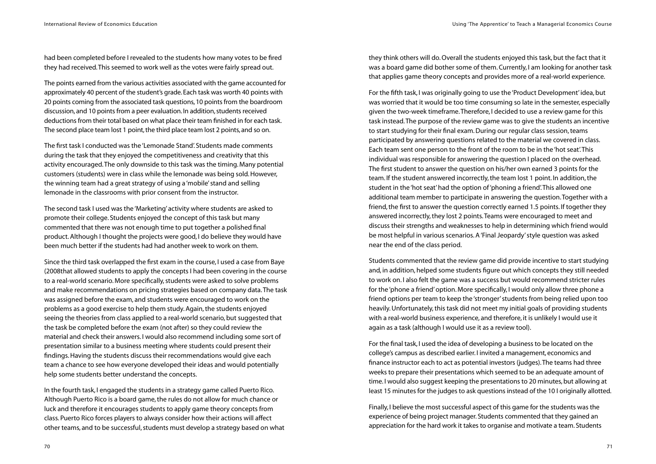had been completed before I revealed to the students how many votes to be fired they had received.This seemed to work well as the votes were fairly spread out.

The points earned from the various activities associated with the game accounted for approximately 40 percent of the student's grade. Each task was worth 40 points with 20 points coming from the associated task questions, 10 points from the boardroom discussion, and 10 points from a peer evaluation. In addition, students received deductions from their total based on what place their team finished in for each task. The second place team lost 1 point, the third place team lost 2 points, and so on.

The first task I conducted was the 'Lemonade Stand'. Students made comments during the task that they enjoyed the competitiveness and creativity that this activity encouraged.The only downside to this task was the timing. Many potential customers (students) were in class while the lemonade was being sold. However, the winning team had a great strategy of using a 'mobile' stand and selling lemonade in the classrooms with prior consent from the instructor.

The second task I used was the 'Marketing' activity where students are asked to promote their college. Students enjoyed the concept of this task but many commented that there was not enough time to put together a polished final product. Although I thought the projects were good, I do believe they would have been much better if the students had had another week to work on them.

Since the third task overlapped the first exam in the course, I used a case from Baye (2008that allowed students to apply the concepts I had been covering in the course to a real-world scenario. More specifically, students were asked to solve problems and make recommendations on pricing strategies based on company data.The task was assigned before the exam, and students were encouraged to work on the problems as a good exercise to help them study. Again, the students enjoyed seeing the theories from class applied to a real-world scenario, but suggested that the task be completed before the exam (not after) so they could review the material and check their answers. I would also recommend including some sort of presentation similar to a business meeting where students could present their findings. Having the students discuss their recommendations would give each team a chance to see how everyone developed their ideas and would potentially help some students better understand the concepts.

In the fourth task, I engaged the students in a strategy game called Puerto Rico. Although Puerto Rico is a board game, the rules do not allow for much chance or luck and therefore it encourages students to apply game theory concepts from class. Puerto Rico forces players to always consider how their actions will affect other teams, and to be successful, students must develop a strategy based on what they think others will do. Overall the students enjoyed this task, but the fact that it was a board game did bother some of them. Currently, I am looking for another task that applies game theory concepts and provides more of a real-world experience.

For the fifth task, I was originally going to use the 'Product Development' idea, but was worried that it would be too time consuming so late in the semester, especially given the two-week timeframe.Therefore, I decided to use a review game for this task instead.The purpose of the review game was to give the students an incentive to start studying for their final exam. During our regular class session, teams participated by answering questions related to the material we covered in class. Each team sent one person to the front of the room to be in the 'hot seat'.This individual was responsible for answering the question I placed on the overhead. The first student to answer the question on his/her own earned 3 points for the team. If the student answered incorrectly, the team lost 1 point. In addition, the student in the 'hot seat' had the option of 'phoning a friend'.This allowed one additional team member to participate in answering the question.Together with a friend, the first to answer the question correctly earned 1.5 points. If together they answered incorrectly, they lost 2 points.Teams were encouraged to meet and discuss their strengths and weaknesses to help in determining which friend would be most helpful in various scenarios. A 'Final Jeopardy' style question was asked near the end of the class period.

Students commented that the review game did provide incentive to start studying and, in addition, helped some students figure out which concepts they still needed to work on. I also felt the game was a success but would recommend stricter rules for the 'phone a friend' option. More specifically, I would only allow three phone a friend options per team to keep the 'stronger' students from being relied upon too heavily.Unfortunately, this task did not meet my initial goals of providing students with a real-world business experience, and therefore, it is unlikely I would use it again as a task (although I would use it as a review tool).

For the final task, I used the idea of developing a business to be located on the college's campus as described earlier. I invited a management, economics and finance instructor each to act as potential investors (judges).The teams had three weeks to prepare their presentations which seemed to be an adequate amount of time. I would also suggest keeping the presentations to 20 minutes, but allowing at least 15 minutes for the judges to ask questions instead of the 10 I originally allotted.

Finally, I believe the most successful aspect of this game for the students was the experience of being project manager. Students commented that they gained an appreciation for the hard work it takes to organise and motivate a team. Students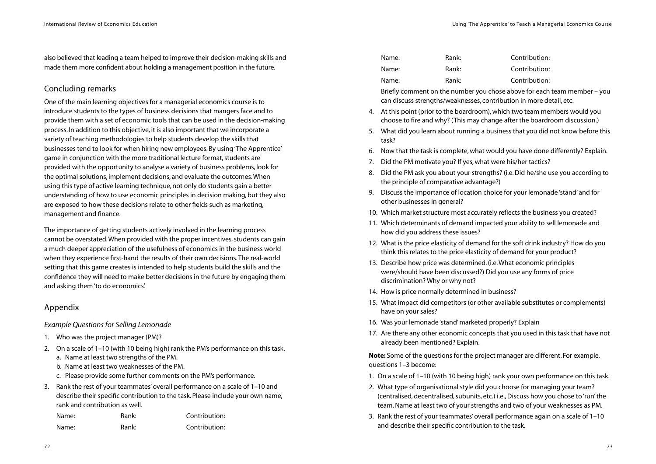also believed that leading a team helped to improve their decision-making skills and made them more confident about holding a management position in the future.

# Concluding remarks

One of the main learning objectives for a managerial economics course is to introduce students to the types of business decisions that mangers face and to provide them with a set of economic tools that can be used in the decision-making process. In addition to this objective, it is also important that we incorporate a variety of teaching methodologies to help students develop the skills that businesses tend to look for when hiring new employees. By using 'The Apprentice' game in conjunction with the more traditional lecture format, students are provided with the opportunity to analyse a variety of business problems, look for the optimal solutions, implement decisions, and evaluate the outcomes.When using this type of active learning technique, not only do students gain a better understanding of how to use economic principles in decision making, but they also are exposed to how these decisions relate to other fields such as marketing, management and finance.

The importance of getting students actively involved in the learning process cannot be overstated.When provided with the proper incentives, students can gain a much deeper appreciation of the usefulness of economics in the business world when they experience first-hand the results of their own decisions.The real-world setting that this game creates is intended to help students build the skills and the confidence they will need to make better decisions in the future by engaging them and asking them 'to do economics'.

### Appendix

#### *Example Questions for Selling Lemonade*

- 1. Who was the project manager (PM)?
- 2. On a scale of 1–10 (with 10 being high) rank the PM's performance on this task.
	- a. Name at least two strengths of the PM.
	- b. Name at least two weaknesses of the PM.
	- c. Please provide some further comments on the PM's performance.
- 3. Rank the rest of your teammates' overall performance on a scale of 1–10 and describe their specific contribution to the task. Please include your own name, rank and contribution as well.

| Name: | Rank: | Contribution: |
|-------|-------|---------------|
| Name: | Rank: | Contribution: |

| Name: | Rank: | Contribution: |
|-------|-------|---------------|
| Name: | Rank: | Contribution: |
| Name: | Rank: | Contribution: |

Briefly comment on the number you chose above for each team member – you can discuss strengths/weaknesses, contribution in more detail, etc.

- 4. At this point (prior to the boardroom), which two team members would you choose to fire and why? (This may change after the boardroom discussion.)
- 5. What did you learn about running a business that you did not know before this task?
- 6. Now that the task is complete, what would you have done differently? Explain.
- 7. Did the PM motivate you? If yes, what were his/her tactics?
- 8. Did the PM ask you about your strengths? (i.e. Did he/she use you according to the principle of comparative advantage?)
- 9. Discuss the importance of location choice for your lemonade 'stand' and for other businesses in general?
- 10. Which market structure most accurately reflects the business you created?
- 11. Which determinants of demand impacted your ability to sell lemonade and how did you address these issues?
- 12. What is the price elasticity of demand for the soft drink industry? How do you think this relates to the price elasticity of demand for your product?
- 13. Describe how price was determined. (i.e.What economic principles were/should have been discussed?) Did you use any forms of price discrimination? Why or why not?
- 14. How is price normally determined in business?
- 15. What impact did competitors (or other available substitutes or complements) have on your sales?
- 16. Was your lemonade 'stand' marketed properly? Explain
- 17. Are there any other economic concepts that you used in this task that have not already been mentioned? Explain.

**Note:** Some of the questions for the project manager are different. For example, questions 1–3 become:

- 1. On a scale of 1–10 (with 10 being high) rank your own performance on this task.
- 2. What type of organisational style did you choose for managing your team? (centralised, decentralised, subunits, etc.) i.e., Discuss how you chose to 'run' the team. Name at least two of your strengths and two of your weaknesses as PM.
- 3. Rank the rest of your teammates' overall performance again on a scale of 1–10 and describe their specific contribution to the task.